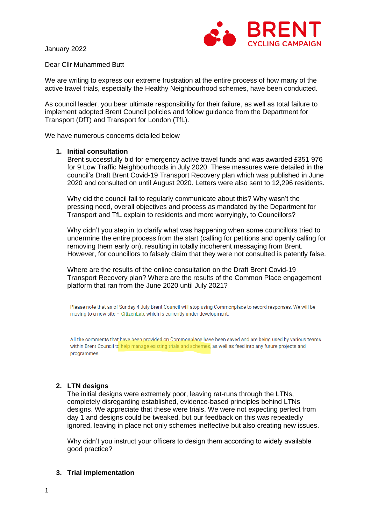January 2022



Dear Cllr Muhammed Butt

We are writing to express our extreme frustration at the entire process of how many of the active travel trials, especially the Healthy Neighbourhood schemes, have been conducted.

As council leader, you bear ultimate responsibility for their failure, as well as total failure to implement adopted Brent Council policies and follow guidance from the Department for Transport (DfT) and Transport for London (TfL).

We have numerous concerns detailed below

#### **1. Initial consultation**

Brent successfully bid for emergency active travel funds and was awarded £351 976 for 9 Low Traffic Neighbourhoods in July 2020. These measures were detailed in the council's Draft Brent Covid-19 Transport Recovery plan which was published in June 2020 and consulted on until August 2020. Letters were also sent to 12,296 residents.

Why did the council fail to regularly communicate about this? Why wasn't the pressing need, overall objectives and process as mandated by the Department for Transport and TfL explain to residents and more worryingly, to Councillors?

Why didn't you step in to clarify what was happening when some councillors tried to undermine the entire process from the start (calling for petitions and openly calling for removing them early on), resulting in totally incoherent messaging from Brent. However, for councillors to falsely claim that they were not consulted is patently false.

Where are the results of the online consultation on the Draft Brent Covid-19 Transport Recovery plan? Where are the results of the Common Place engagement platform that ran from the June 2020 until July 2021?

Please note that as of Sunday 4 July Brent Council will stop using Commonplace to record responses. We will be moving to a new site - CitizenLab, which is currently under development.

All the comments that have been provided on Commonplace have been saved and are being used by various teams within Brent Council to help manage existing trials and schemes, as well as feed into any future projects and programmes.

## **2. LTN designs**

The initial designs were extremely poor, leaving rat-runs through the LTNs, completely disregarding established, evidence-based principles behind LTNs designs. We appreciate that these were trials. We were not expecting perfect from day 1 and designs could be tweaked, but our feedback on this was repeatedly ignored, leaving in place not only schemes ineffective but also creating new issues.

Why didn't you instruct your officers to design them according to widely available good practice?

#### **3. Trial implementation**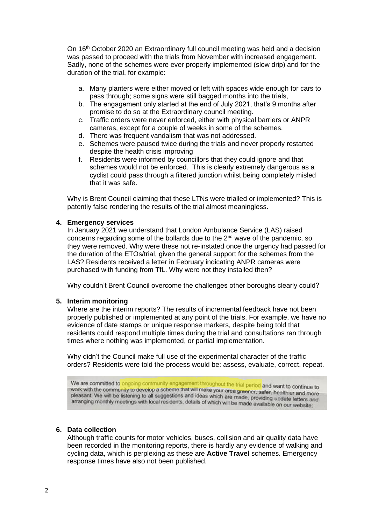On 16th October 2020 an Extraordinary full council meeting was held and a decision was passed to proceed with the trials from November with increased engagement. Sadly, none of the schemes were ever properly implemented (slow drip) and for the duration of the trial, for example:

- a. Many planters were either moved or left with spaces wide enough for cars to pass through; some signs were still bagged months into the trials,
- b. The engagement only started at the end of July 2021, that's 9 months after promise to do so at the Extraordinary council meeting.
- c. Traffic orders were never enforced, either with physical barriers or ANPR cameras, except for a couple of weeks in some of the schemes.
- d. There was frequent vandalism that was not addressed.
- e. Schemes were paused twice during the trials and never properly restarted despite the health crisis improving
- f. Residents were informed by councillors that they could ignore and that schemes would not be enforced. This is clearly extremely dangerous as a cyclist could pass through a filtered junction whilst being completely misled that it was safe.

Why is Brent Council claiming that these LTNs were trialled or implemented? This is patently false rendering the results of the trial almost meaningless.

#### **4. Emergency services**

In January 2021 we understand that London Ambulance Service (LAS) raised concerns regarding some of the bollards due to the 2nd wave of the pandemic, so they were removed. Why were these not re-instated once the urgency had passed for the duration of the ETOs/trial, given the general support for the schemes from the LAS? Residents received a letter in February indicating ANPR cameras were purchased with funding from TfL. Why were not they installed then?

Why couldn't Brent Council overcome the challenges other boroughs clearly could?

#### **5. Interim monitoring**

Where are the interim reports? The results of incremental feedback have not been properly published or implemented at any point of the trials. For example, we have no evidence of date stamps or unique response markers, despite being told that residents could respond multiple times during the trial and consultations ran through times where nothing was implemented, or partial implementation.

Why didn't the Council make full use of the experimental character of the traffic orders? Residents were told the process would be: assess, evaluate, correct. repeat.

We are committed to ongoing community engagement throughout the trial period and want to continue to work with the community to develop a scheme that will make your area greener, safer, healthier and more<br>work with the community to develop a scheme that will make your area greener, safer, healthier and more work with the community to develop a scheme that will make your area greener, safer, healthier and more<br>pleasant. We will be listening to all suggestions and ideas which are made, providing update letters and pleasant. We will be listening to all suggestions and loeas which are made, providing update letters at<br>arranging monthly meetings with local residents, details of which will be made available on our website;

#### **6. Data collection**

Although traffic counts for motor vehicles, buses, collision and air quality data have been recorded in the monitoring reports, there is hardly any evidence of walking and cycling data, which is perplexing as these are **Active Travel** schemes. Emergency response times have also not been published.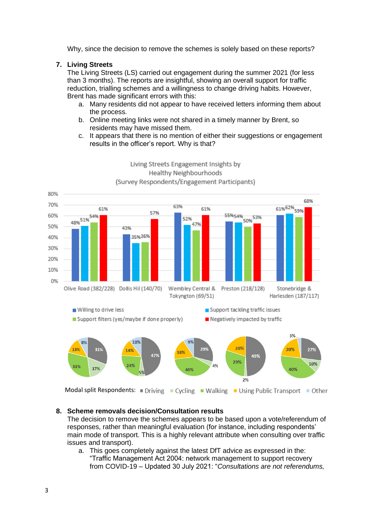Why, since the decision to remove the schemes is solely based on these reports?

## **7. Living Streets**

The Living Streets (LS) carried out engagement during the summer 2021 (for less than 3 months). The reports are insightful, showing an overall support for traffic reduction, trialling schemes and a willingness to change driving habits. However, Brent has made significant errors with this:

- a. Many residents did not appear to have received letters informing them about the process.
- b. Online meeting links were not shared in a timely manner by Brent, so residents may have missed them.
- c. It appears that there is no mention of either their suggestions or engagement results in the officer's report. Why is that?



# Living Streets Engagement Insights by Healthy Neighbourhoods (Survey Respondents/Engagement Participants)

#### **8. Scheme removals decision/Consultation results**

The decision to remove the schemes appears to be based upon a vote/referendum of responses, rather than meaningful evaluation (for instance, including respondents' main mode of transport. This is a highly relevant attribute when consulting over traffic issues and transport).

a. This goes completely against the latest DfT advice as expressed in the: "Traffic Management Act 2004: network management to support recovery from COVID-19 – Updated 30 July 2021: "*Consultations are not referendums,*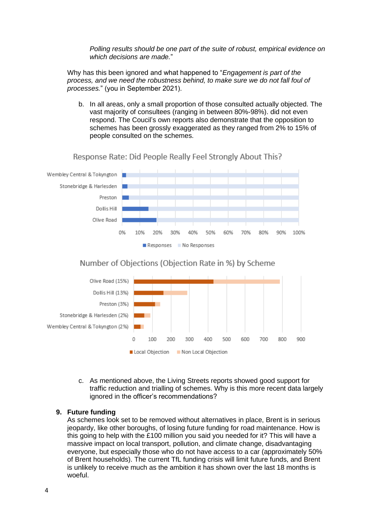*Polling results should be one part of the suite of robust, empirical evidence on which decisions are made.*"

Why has this been ignored and what happened to "*Engagement is part of the process, and we need the robustness behind, to make sure we do not fall foul of processes.*" (you in September 2021).

b. In all areas, only a small proportion of those consulted actually objected. The vast majority of consultees (ranging in between 80%-98%). did not even respond. The Coucil's own reports also demonstrate that the opposition to schemes has been grossly exaggerated as they ranged from 2% to 15% of people consulted on the schemes.



Response Rate: Did People Really Feel Strongly About This?

## Number of Objections (Objection Rate in %) by Scheme



c. As mentioned above, the Living Streets reports showed good support for traffic reduction and trialling of schemes. Why is this more recent data largely ignored in the officer's recommendations?

#### **9. Future funding**

As schemes look set to be removed without alternatives in place, Brent is in serious jeopardy, like other boroughs, of losing future funding for road maintenance. How is this going to help with the £100 million you said you needed for it? This will have a massive impact on local transport, pollution, and climate change, disadvantaging everyone, but especially those who do not have access to a car (approximately 50% of Brent households). The current TfL funding crisis will limit future funds, and Brent is unlikely to receive much as the ambition it has shown over the last 18 months is woeful.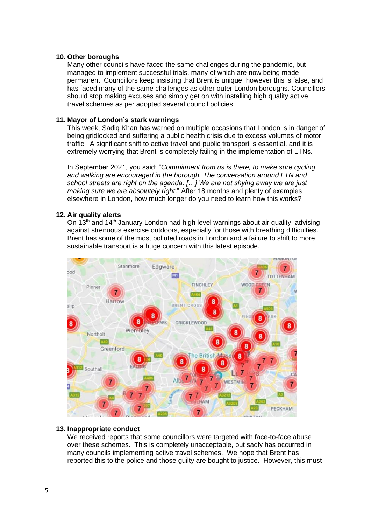## **10. Other boroughs**

Many other councils have faced the same challenges during the pandemic, but managed to implement successful trials, many of which are now being made permanent. Councillors keep insisting that Brent is unique, however this is false, and has faced many of the same challenges as other outer London boroughs. Councillors should stop making excuses and simply get on with installing high quality active travel schemes as per adopted several council policies.

## **11. Mayor of London's stark warnings**

This week, Sadiq Khan has warned on multiple occasions that London is in danger of being gridlocked and suffering a public health crisis due to excess volumes of motor traffic. A significant shift to active travel and public transport is essential, and it is extremely worrying that Brent is completely failing in the implementation of LTNs.

In September 2021, you said: "*Commitment from us is there, to make sure cycling and walking are encouraged in the borough. The conversation around LTN and school streets are right on the agenda. […] We are not shying away we are just making sure we are absolutely right*." After 18 months and plenty of examples elsewhere in London, how much longer do you need to learn how this works?

## **12. Air quality alerts**

On 13<sup>th</sup> and 14<sup>th</sup> January London had high level warnings about air quality, advising against strenuous exercise outdoors, especially for those with breathing difficulties. Brent has some of the most polluted roads in London and a failure to shift to more sustainable transport is a huge concern with this latest episode.



## **13. Inappropriate conduct**

We received reports that some councillors were targeted with face-to-face abuse over these schemes. This is completely unacceptable, but sadly has occurred in many councils implementing active travel schemes. We hope that Brent has reported this to the police and those guilty are bought to justice. However, this must